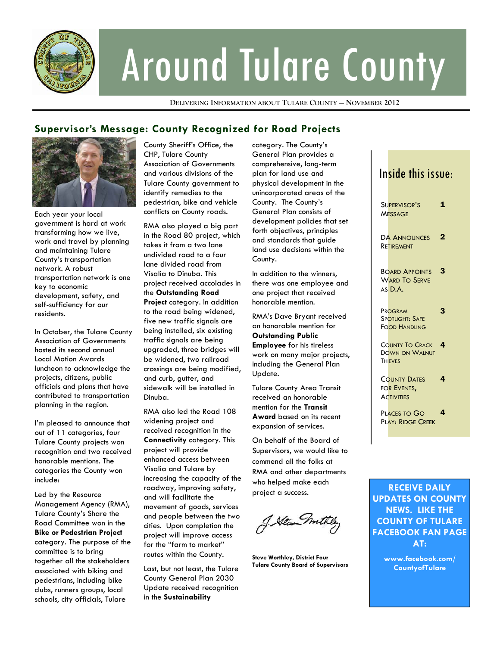

# Around Tulare County

**DELIVERING INFORMATION ABOUT TULARE COUNTY — NOVEMBER 2012**

## **Supervisor's Message: County Recognized for Road Projects**



Each year your local government is hard at work transforming how we live, work and travel by planning and maintaining Tulare County's transportation network. A robust transportation network is one key to economic development, safety, and self-sufficiency for our residents.

In October, the Tulare County Association of Governments hosted its second annual Local Motion Awards luncheon to acknowledge the projects, citizens, public officials and plans that have contributed to transportation planning in the region.

I'm pleased to announce that out of 11 categories, four Tulare County projects won recognition and two received honorable mentions. The categories the County won include:

Led by the Resource Management Agency (RMA), Tulare County's Share the Road Committee won in the **Bike or Pedestrian Project**  category. The purpose of the committee is to bring together all the stakeholders associated with biking and pedestrians, including bike clubs, runners groups, local schools, city officials, Tulare

County Sheriff's Office, the CHP, Tulare County Association of Governments and various divisions of the Tulare County government to identify remedies to the pedestrian, bike and vehicle conflicts on County roads.

RMA also played a big part in the Road 80 project, which takes it from a two lane undivided road to a four lane divided road from Visalia to Dinuba. This project received accolades in the **Outstanding Road Project** category. In addition to the road being widened, five new traffic signals are being installed, six existing traffic signals are being upgraded, three bridges will be widened, two railroad crossings are being modified, and curb, gutter, and sidewalk will be installed in Dinuba.

RMA also led the Road 108 widening project and received recognition in the **Connectivity** category. This project will provide enhanced access between Visalia and Tulare by increasing the capacity of the roadway, improving safety, and will facilitate the movement of goods, services and people between the two cities. Upon completion the project will improve access for the "farm to market" routes within the County.

Last, but not least, the Tulare County General Plan 2030 Update received recognition in the **Sustainability**

category. The County's General Plan provides a comprehensive, long-term plan for land use and physical development in the unincorporated areas of the County. The County's General Plan consists of development policies that set forth objectives, principles and standards that guide land use decisions within the County.

In addition to the winners, there was one employee and one project that received honorable mention.

RMA's Dave Bryant received an honorable mention for **Outstanding Public Employee** for his tireless work on many major projects, including the General Plan Update.

Tulare County Area Transit received an honorable mention for the **Transit Award** based on its recent expansion of services.

On behalf of the Board of Supervisors, we would like to commend all the folks at RMA and other departments who helped make each project a success.

J. Stewn mite

**Steve Worthley, District Four Tulare County Board of Supervisors** 

| Inside this issue:                                                |             |  |
|-------------------------------------------------------------------|-------------|--|
| SUPERVISOR'S<br><b>MESSAGE</b>                                    | $\mathbf 1$ |  |
| <b>DA ANNOUNCES</b><br>Retirement                                 | 2           |  |
| <b>BOARD APPOINTS</b><br><b>WARD TO SERVE</b><br>AS D.A.          | 3           |  |
| PROGRAM<br><b>SPOTLIGHT: SAFE</b><br><b>FOOD HANDLING</b>         | 3           |  |
| <b>COUNTY TO CRACK</b><br><b>DOWN ON WALNUT</b><br><b>THIEVES</b> | 4           |  |
| <b>COUNTY DATES</b><br>FOR EVENTS,<br><b>ACTIVITIES</b>           | 4           |  |
| PLACES TO GO<br><b>PLAY: RIDGE CREEK</b>                          | 4           |  |
|                                                                   |             |  |

**RECEIVE DAILY UPDATES ON COUNTY NEWS. LIKE THE COUNTY OF TULARE FACEBOOK FAN PAGE AT:** 

> **www.facebook.com/ CountyofTulare**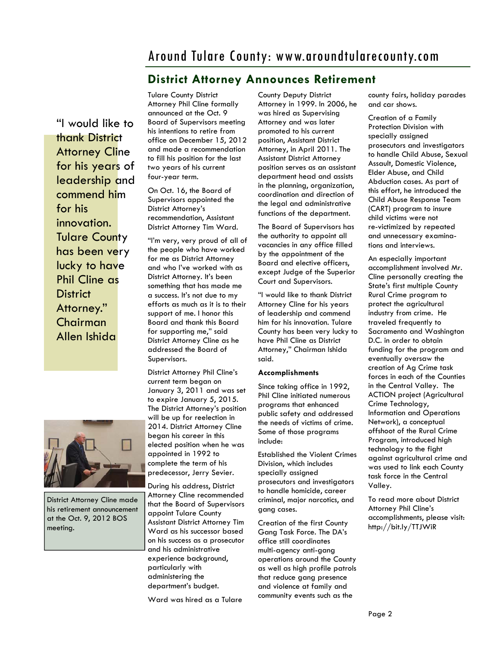# **District Attorney Announces Retirement**

"I would like to thank District **Attorney Cline** for his years of leadership and commend him for his innovation. Tulare County has been very lucky to have Phil Cline as **District** Attorney." Chairman Allen Ishida



District Attorney Cline made his retirement announcement at the Oct. 9, 2012 BOS meeting.

Tulare County District Attorney Phil Cline formally announced at the Oct. 9 Board of Supervisors meeting his intentions to retire from office on December 15, 2012 and made a recommendation to fill his position for the last two years of his current four-year term.

On Oct. 16, the Board of Supervisors appointed the District Attorney's recommendation, Assistant District Attorney Tim Ward.

"I'm very, very proud of all of the people who have worked for me as District Attorney and who I've worked with as District Attorney. It's been something that has made me a success. It's not due to my efforts as much as it is to their support of me. I honor this Board and thank this Board for supporting me," said District Attorney Cline as he addressed the Board of Supervisors.

District Attorney Phil Cline's current term began on January 3, 2011 and was set to expire January 5, 2015. The District Attorney's position will be up for reelection in 2014. District Attorney Cline began his career in this elected position when he was appointed in 1992 to complete the term of his predecessor, Jerry Sevier.

During his address, District Attorney Cline recommended that the Board of Supervisors appoint Tulare County Assistant District Attorney Tim Ward as his successor based on his success as a prosecutor and his administrative experience background, particularly with administering the department's budget.

Ward was hired as a Tulare

County Deputy District Attorney in 1999. In 2006, he was hired as Supervising Attorney and was later promoted to his current position, Assistant District Attorney, in April 2011. The Assistant District Attorney position serves as an assistant department head and assists in the planning, organization, coordination and direction of the legal and administrative functions of the department.

The Board of Supervisors has the authority to appoint all vacancies in any office filled by the appointment of the Board and elective officers, except Judge of the Superior Court and Supervisors.

"I would like to thank District Attorney Cline for his years of leadership and commend him for his innovation. Tulare County has been very lucky to have Phil Cline as District Attorney," Chairman Ishida said.

#### **Accomplishments**

Since taking office in 1992, Phil Cline initiated numerous programs that enhanced public safety and addressed the needs of victims of crime. Some of those programs include:

Established the Violent Crimes Division, which includes specially assigned prosecutors and investigators to handle homicide, career criminal, major narcotics, and gang cases.

Creation of the first County Gang Task Force. The DA's office still coordinates multi-agency anti-gang operations around the County as well as high profile patrols that reduce gang presence and violence at family and community events such as the

county fairs, holiday parades and car shows.

Creation of a Family Protection Division with specially assigned prosecutors and investigators to handle Child Abuse, Sexual Assault, Domestic Violence, Elder Abuse, and Child Abduction cases. As part of this effort, he introduced the Child Abuse Response Team (CART) program to insure child victims were not re-victimized by repeated and unnecessary examinations and interviews.

An especially important accomplishment involved Mr. Cline personally creating the State's first multiple County Rural Crime program to protect the agricultural industry from crime. He traveled frequently to Sacramento and Washington D.C. in order to obtain funding for the program and eventually oversaw the creation of Ag Crime task forces in each of the Counties in the Central Valley. The ACTION project (Agricultural Crime Technology, Information and Operations Network), a conceptual offshoot of the Rural Crime Program, introduced high technology to the fight against agricultural crime and was used to link each County task force in the Central Valley.

To read more about District Attorney Phil Cline's accomplishments, please visit: http://bit.ly/TTJWiR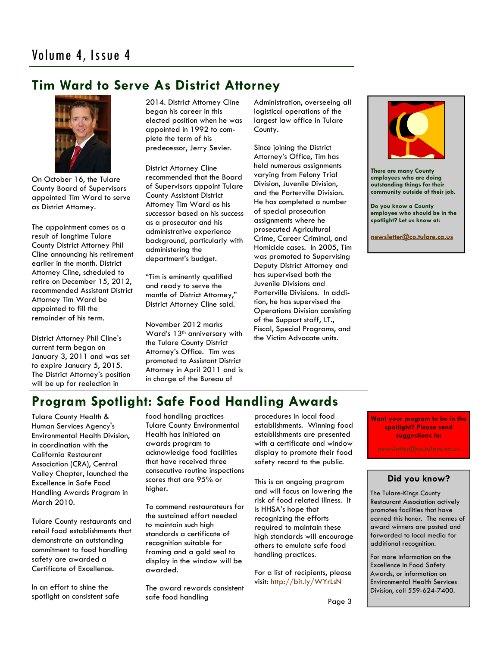# **Tim Ward to Serve As District Attorney**



On October 16, the Tulare County Board of Supervisors appointed Tim Ward to serve as District Attorney.

The appointment comes as a result of longtime Tulare County District Attorney Phil Cline announcing his retirement earlier in the month. District Attorney Cline, scheduled to retire on December 15, 2012, recommended Assistant District Attorney Tim Ward be appointed to fill the remainder of his term.

District Attorney Phil Cline's current term began on January 3, 2011 and was set to expire January 5, 2015. The District Attorney's position will be up for reelection in

2014. District Attorney Cline began his career in this elected position when he was appointed in 1992 to complete the term of his predecessor, Jerry Sevier.

District Attorney Cline recommended that the Board of Supervisors appoint Tulare County Assistant District Attorney Tim Ward as his successor based on his success as a prosecutor and his administrative experience background, particularly with administering the department's budget.

"Tim is eminently qualified and ready to serve the mantle of District Attorney," District Attorney Cline said.

November 2012 marks Ward's 13<sup>th</sup> anniversary with the Tulare County District Attorney's Office. Tim was promoted to Assistant District Attorney in April 2011 and is in charge of the Bureau of

Administration, overseeing all logistical operations of the largest law office in Tulare County.

Since joining the District Attorney's Office, Tim has held numerous assignments varying from Felony Trial Division, Juvenile Division, and the Porterville Division. He has completed a number of special prosecution assignments where he prosecuted Agricultural Crime, Career Criminal, and Homicide cases. In 2005, Tim was promoted to Supervising Deputy District Attorney and has supervised both the Juvenile Divisions and Porterville Divisions. In addition, he has supervised the Operations Division consisting of the Support staff, I.T., Fiscal, Special Programs, and the Victim Advocate units.



**There are many County employees who are doing outstanding things for their community outside of their job.** 

**Do you know a County employee who should be in the spotlight? Let us know at:** 

**newsletter@co.tulare.ca.us**

# **Program Spotlight: Safe Food Handling Awards**

Tulare County Health & Human Services Agency's Environmental Health Division, in coordination with the California Restaurant Association (CRA), Central Valley Chapter, launched the Excellence in Safe Food Handling Awards Program in March 2010.

Tulare County restaurants and retail food establishments that demonstrate an outstanding commitment to food handling safety are awarded a Certificate of Excellence.

In an effort to shine the spotlight on consistent safe food handling practices Tulare County Environmental Health has initiated an awards program to acknowledge food facilities that have received three consecutive routine inspections scores that are 95% or higher.

To commend restaurateurs for the sustained effort needed to maintain such high standards a certificate of recognition suitable for framing and a gold seal to display in the window will be awarded.

The award rewards consistent safe food handling

procedures in local food establishments. Winning food establishments are presented with a certificate and window display to promote their food safety record to the public.

This is an ongoing program and will focus on lowering the risk of food related illness. It is HHSA's hope that recognizing the efforts required to maintain these high standards will encourage others to emulate safe food handling practices.

For a list of recipients, please visit: http://bit.ly/WYrLsN

**Want your program to be in the spotlight? Please send suggestions to:** 

## **Did you know?**

The Tulare-Kings County Restaurant Association actively promotes facilities that have earned this honor. The names of award winners are posted and forwarded to local media for additional recognition.

For more information on the Excellence in Food Safety Awards, or information on Environmental Health Services Division, call 559-624-7400.